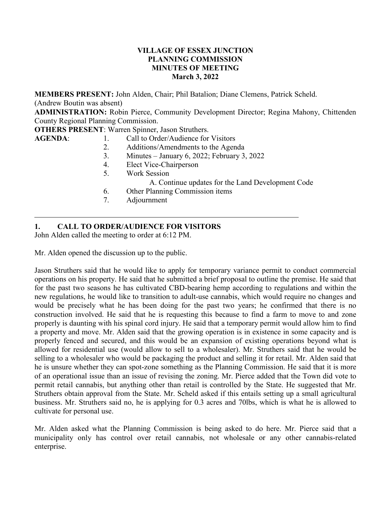#### **VILLAGE OF ESSEX JUNCTION PLANNING COMMISSION MINUTES OF MEETING March 3, 2022**

**MEMBERS PRESENT:** John Alden, Chair; Phil Batalion; Diane Clemens, Patrick Scheld. (Andrew Boutin was absent)

**ADMINISTRATION:** Robin Pierce, Community Development Director; Regina Mahony, Chittenden County Regional Planning Commission.

**OTHERS PRESENT**: Warren Spinner, Jason Struthers.

- **AGENDA:** 1. Call to Order/Audience for Visitors
	- 2. Additions/Amendments to the Agenda
	- 3. Minutes January 6, 2022; February 3, 2022
	- 4. Elect Vice-Chairperson
	- 5. Work Session
		- A. Continue updates for the Land Development Code
	- 6. Other Planning Commission items
	- 7. Adjournment

# **1. CALL TO ORDER/AUDIENCE FOR VISITORS**

John Alden called the meeting to order at 6:12 PM.

Mr. Alden opened the discussion up to the public.

Jason Struthers said that he would like to apply for temporary variance permit to conduct commercial operations on his property. He said that he submitted a brief proposal to outline the premise. He said that for the past two seasons he has cultivated CBD-bearing hemp according to regulations and within the new regulations, he would like to transition to adult-use cannabis, which would require no changes and would be precisely what he has been doing for the past two years; he confirmed that there is no construction involved. He said that he is requesting this because to find a farm to move to and zone properly is daunting with his spinal cord injury. He said that a temporary permit would allow him to find a property and move. Mr. Alden said that the growing operation is in existence in some capacity and is properly fenced and secured, and this would be an expansion of existing operations beyond what is allowed for residential use (would allow to sell to a wholesaler). Mr. Struthers said that he would be selling to a wholesaler who would be packaging the product and selling it for retail. Mr. Alden said that he is unsure whether they can spot-zone something as the Planning Commission. He said that it is more of an operational issue than an issue of revising the zoning. Mr. Pierce added that the Town did vote to permit retail cannabis, but anything other than retail is controlled by the State. He suggested that Mr. Struthers obtain approval from the State. Mr. Scheld asked if this entails setting up a small agricultural business. Mr. Struthers said no, he is applying for 0.3 acres and 70lbs, which is what he is allowed to cultivate for personal use.

Mr. Alden asked what the Planning Commission is being asked to do here. Mr. Pierce said that a municipality only has control over retail cannabis, not wholesale or any other cannabis-related enterprise.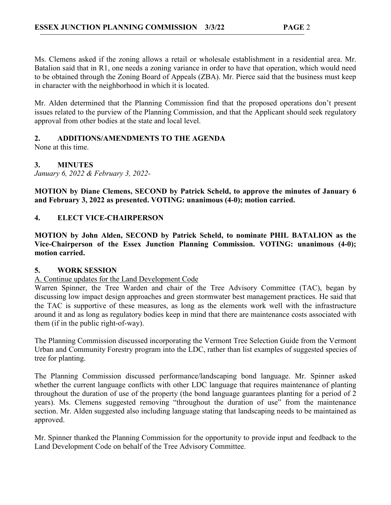Ms. Clemens asked if the zoning allows a retail or wholesale establishment in a residential area. Mr. Batalion said that in R1, one needs a zoning variance in order to have that operation, which would need to be obtained through the Zoning Board of Appeals (ZBA). Mr. Pierce said that the business must keep in character with the neighborhood in which it is located.

Mr. Alden determined that the Planning Commission find that the proposed operations don't present issues related to the purview of the Planning Commission, and that the Applicant should seek regulatory approval from other bodies at the state and local level.

# **2. ADDITIONS/AMENDMENTS TO THE AGENDA**

None at this time.

**3. MINUTES**

*January 6, 2022 & February 3, 2022-* 

**MOTION by Diane Clemens, SECOND by Patrick Scheld, to approve the minutes of January 6 and February 3, 2022 as presented. VOTING: unanimous (4-0); motion carried.**

## **4. ELECT VICE-CHAIRPERSON**

**MOTION by John Alden, SECOND by Patrick Scheld, to nominate PHIL BATALION as the Vice-Chairperson of the Essex Junction Planning Commission. VOTING: unanimous (4-0); motion carried.**

## **5. WORK SESSION**

#### A. Continue updates for the Land Development Code

Warren Spinner, the Tree Warden and chair of the Tree Advisory Committee (TAC), began by discussing low impact design approaches and green stormwater best management practices. He said that the TAC is supportive of these measures, as long as the elements work well with the infrastructure around it and as long as regulatory bodies keep in mind that there are maintenance costs associated with them (if in the public right-of-way).

The Planning Commission discussed incorporating the Vermont Tree Selection Guide from the Vermont Urban and Community Forestry program into the LDC, rather than list examples of suggested species of tree for planting.

The Planning Commission discussed performance/landscaping bond language. Mr. Spinner asked whether the current language conflicts with other LDC language that requires maintenance of planting throughout the duration of use of the property (the bond language guarantees planting for a period of 2 years). Ms. Clemens suggested removing "throughout the duration of use" from the maintenance section. Mr. Alden suggested also including language stating that landscaping needs to be maintained as approved.

Mr. Spinner thanked the Planning Commission for the opportunity to provide input and feedback to the Land Development Code on behalf of the Tree Advisory Committee.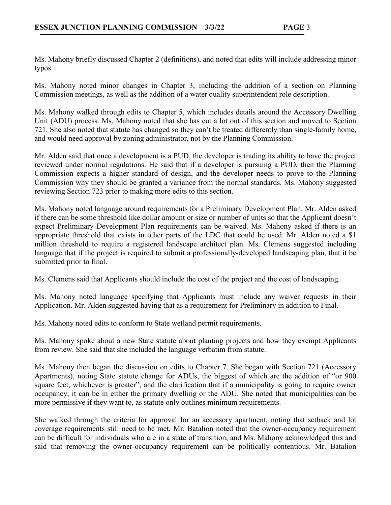Ms. Mahony briefly discussed Chapter 2 (definitions), and noted that edits will include addressing minor typos.

Ms. Mahony noted minor changes in Chapter 3, including the addition of a section on Planning Commission meetings, as well as the addition of a water quality superintendent role description.

Ms. Mahony walked through edits to Chapter 5, which includes details around the Accessory Dwelling Unit (ADU) process. Ms. Mahony noted that she has cut a lot out of this section and moved to Section 721. She also noted that statute has changed so they can't be treated differently than single-family home, and would need approval by zoning administrator, not by the Planning Commission.

Mr. Alden said that once a development is a PUD, the developer is trading its ability to have the project reviewed under normal regulations. He said that if a developer is pursuing a PUD, then the Planning Commission expects a higher standard of design, and the developer needs to prove to the Planning Commission why they should be granted a variance from the normal standards. Ms. Mahony suggested reviewing Section 723 prior to making more edits to this section.

Ms. Mahony noted language around requirements for a Preliminary Development Plan. Mr. Alden asked if there can be some threshold like dollar amount or size or number of units so that the Applicant doesn't expect Preliminary Development Plan requirements can be waived. Ms. Mahony asked if there is an appropriate threshold that exists in other parts of the LDC that could be used. Mr. Alden noted a \$1 million threshold to require a registered landscape architect plan. Ms. Clemens suggested including language that if the project is required to submit a professionally-developed landscaping plan, that it be submitted prior to final.

Ms. Clemens said that Applicants should include the cost of the project and the cost of landscaping.

Ms. Mahony noted language specifying that Applicants must include any waiver requests in their Application. Mr. Alden suggested having that as a requirement for Preliminary in addition to Final.

Ms. Mahony noted edits to conform to State wetland permit requirements.

Ms. Mahony spoke about a new State statute about planting projects and how they exempt Applicants from review. She said that she included the language verbatim from statute.

Ms. Mahony then began the discussion on edits to Chapter 7. She began with Section 721 (Accessory Apartments), noting State statute change for ADUs, the biggest of which are the addition of "or 900 square feet, whichever is greater", and the clarification that if a municipality is going to require owner occupancy, it can be in either the primary dwelling or the ADU. She noted that municipalities can be more permissive if they want to, as statute only outlines minimum requirements.

She walked through the criteria for approval for an accessory apartment, noting that setback and lot coverage requirements still need to be met. Mr. Batalion noted that the owner-occupancy requirement can be difficult for individuals who are in a state of transition, and Ms. Mahony acknowledged this and said that removing the owner-occupancy requirement can be politically contentious. Mr. Batalion